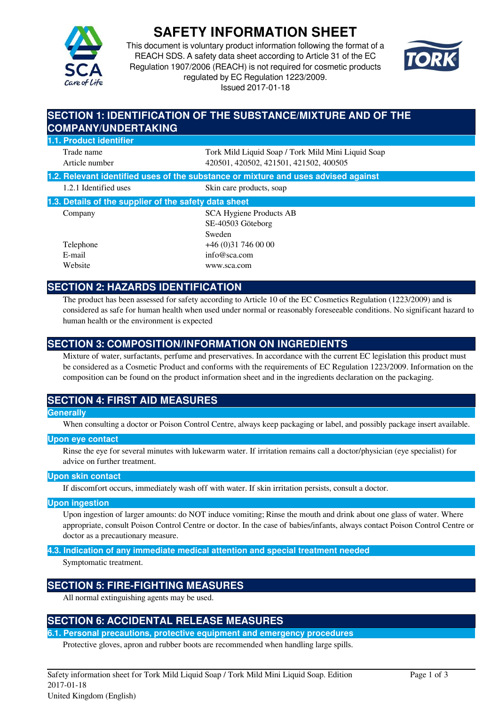

# **SAFETY INFORMATION SHEET**

This document is voluntary product information following the format of a REACH SDS. A safety data sheet according to Article 31 of the EC Regulation 1907/2006 (REACH) is not required for cosmetic products regulated by EC Regulation 1223/2009. Issued 2017-01-18



# **SECTION 1: IDENTIFICATION OF THE SUBSTANCE/MIXTURE AND OF THE COMPANY/UNDERTAKING**

# **1.1. Product identifier**

Trade name Tork Mild Liquid Soap / Tork Mild Mini Liquid Soap Article number 420501, 420502, 421501, 421502, 400505

**1.2. Relevant identified uses of the substance or mixture and uses advised against**

| 1.2.1 Identified uses | Skin care products, soap |
|-----------------------|--------------------------|
|                       |                          |

| 1.3. Details of the supplier of the safety data sheet |                         |  |
|-------------------------------------------------------|-------------------------|--|
| Company                                               | SCA Hygiene Products AB |  |
|                                                       | SE-40503 Göteborg       |  |
|                                                       | $\mathcal{C}$ 1         |  |

Sweden Telephone +46 (0)31 746 00 00 E-mail info@sca.com Website www.sca.com

# **SECTION 2: HAZARDS IDENTIFICATION**

The product has been assessed for safety according to Article 10 of the EC Cosmetics Regulation (1223/2009) and is considered as safe for human health when used under normal or reasonably foreseeable conditions. No significant hazard to human health or the environment is expected

# **SECTION 3: COMPOSITION/INFORMATION ON INGREDIENTS**

Mixture of water, surfactants, perfume and preservatives. In accordance with the current EC legislation this product must be considered as a Cosmetic Product and conforms with the requirements of EC Regulation 1223/2009. Information on the composition can be found on the product information sheet and in the ingredients declaration on the packaging.

# **SECTION 4: FIRST AID MEASURES**

### **Generally**

When consulting a doctor or Poison Control Centre, always keep packaging or label, and possibly package insert available.

#### **Upon eye contact**

Rinse the eye for several minutes with lukewarm water. If irritation remains call a doctor/physician (eye specialist) for advice on further treatment.

#### **Upon skin contact**

If discomfort occurs, immediately wash off with water. If skin irritation persists, consult a doctor.

#### **Upon ingestion**

Upon ingestion of larger amounts: do NOT induce vomiting; Rinse the mouth and drink about one glass of water. Where appropriate, consult Poison Control Centre or doctor. In the case of babies/infants, always contact Poison Control Centre or doctor as a precautionary measure.

**4.3. Indication of any immediate medical attention and special treatment needed**

Symptomatic treatment.

# **SECTION 5: FIRE-FIGHTING MEASURES**

All normal extinguishing agents may be used.

# **SECTION 6: ACCIDENTAL RELEASE MEASURES**

**6.1. Personal precautions, protective equipment and emergency procedures**

Protective gloves, apron and rubber boots are recommended when handling large spills.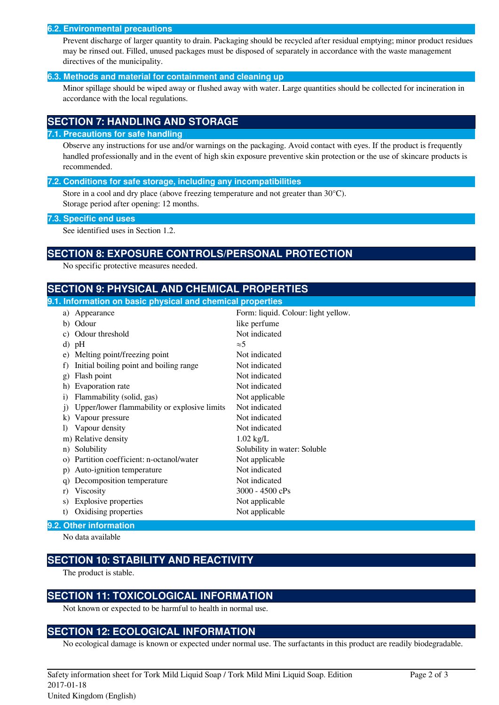#### **6.2. Environmental precautions**

Prevent discharge of larger quantity to drain. Packaging should be recycled after residual emptying; minor product residues may be rinsed out. Filled, unused packages must be disposed of separately in accordance with the waste management directives of the municipality.

#### **6.3. Methods and material for containment and cleaning up**

Minor spillage should be wiped away or flushed away with water. Large quantities should be collected for incineration in accordance with the local regulations.

### **SECTION 7: HANDLING AND STORAGE**

#### **7.1. Precautions for safe handling**

Observe any instructions for use and/or warnings on the packaging. Avoid contact with eyes. If the product is frequently handled professionally and in the event of high skin exposure preventive skin protection or the use of skincare products is recommended.

#### **7.2. Conditions for safe storage, including any incompatibilities**

Store in a cool and dry place (above freezing temperature and not greater than 30°C). Storage period after opening: 12 months.

#### **7.3. Specific end uses**

See identified uses in Section 1.2.

### **SECTION 8: EXPOSURE CONTROLS/PERSONAL PROTECTION**

No specific protective measures needed.

### **SECTION 9: PHYSICAL AND CHEMICAL PROPERTIES**

| 9.1. Information on basic physical and chemical properties |              |                                              |                                     |
|------------------------------------------------------------|--------------|----------------------------------------------|-------------------------------------|
|                                                            | a)           | Appearance                                   | Form: liquid. Colour: light yellow. |
|                                                            |              | b) Odour                                     | like perfume                        |
|                                                            | c)           | Odour threshold                              | Not indicated                       |
|                                                            |              | $d)$ pH                                      | $\approx$ 5                         |
|                                                            | e)           | Melting point/freezing point                 | Not indicated                       |
|                                                            | f)           | Initial boiling point and boiling range      | Not indicated                       |
|                                                            | $\mathbf{g}$ | Flash point                                  | Not indicated                       |
|                                                            | h)           | Evaporation rate                             | Not indicated                       |
|                                                            | $\mathbf{i}$ | Flammability (solid, gas)                    | Not applicable                      |
|                                                            | $\mathbf{i}$ | Upper/lower flammability or explosive limits | Not indicated                       |
|                                                            | $\bf k)$     | Vapour pressure                              | Not indicated                       |
|                                                            | $\bf{D}$     | Vapour density                               | Not indicated                       |
|                                                            |              | m) Relative density                          | $1.02$ kg/L                         |
|                                                            | n)           | Solubility                                   | Solubility in water: Soluble        |
|                                                            | $\Omega$ )   | Partition coefficient: n-octanol/water       | Not applicable                      |
|                                                            | p)           | Auto-ignition temperature                    | Not indicated                       |
|                                                            | q)           | Decomposition temperature                    | Not indicated                       |
|                                                            | r)           | Viscosity                                    | $3000 - 4500$ cPs                   |
|                                                            | S)           | Explosive properties                         | Not applicable                      |
|                                                            | t)           | Oxidising properties                         | Not applicable                      |
|                                                            |              |                                              |                                     |

#### **9.2. Other information**

No data available

# **SECTION 10: STABILITY AND REACTIVITY**

The product is stable.

### **SECTION 11: TOXICOLOGICAL INFORMATION**

Not known or expected to be harmful to health in normal use.

### **SECTION 12: ECOLOGICAL INFORMATION**

No ecological damage is known or expected under normal use. The surfactants in this product are readily biodegradable.